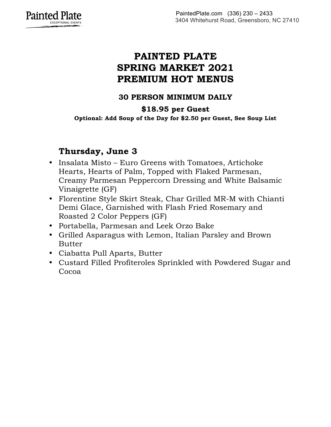

## **PAINTED PLATE SPRING MARKET 2021 PREMIUM HOT MENUS**

#### **30 PERSON MINIMUM DAILY**

#### **\$18.95 per Guest**

**Optional: Add Soup of the Day for \$2.50 per Guest, See Soup List**

### **Thursday, June 3**

- Insalata Misto Euro Greens with Tomatoes, Artichoke Hearts, Hearts of Palm, Topped with Flaked Parmesan, Creamy Parmesan Peppercorn Dressing and White Balsamic Vinaigrette (GF)
- Florentine Style Skirt Steak, Char Grilled MR-M with Chianti Demi Glace, Garnished with Flash Fried Rosemary and Roasted 2 Color Peppers (GF)
- Portabella, Parmesan and Leek Orzo Bake
- Grilled Asparagus with Lemon, Italian Parsley and Brown Butter
- Ciabatta Pull Aparts, Butter
- Custard Filled Profiteroles Sprinkled with Powdered Sugar and Cocoa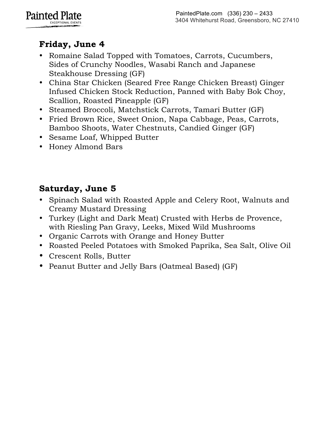

# **Friday, June 4**

- Romaine Salad Topped with Tomatoes, Carrots, Cucumbers, Sides of Crunchy Noodles, Wasabi Ranch and Japanese Steakhouse Dressing (GF)
- China Star Chicken (Seared Free Range Chicken Breast) Ginger Infused Chicken Stock Reduction, Panned with Baby Bok Choy, Scallion, Roasted Pineapple (GF)
- Steamed Broccoli, Matchstick Carrots, Tamari Butter (GF)
- Fried Brown Rice, Sweet Onion, Napa Cabbage, Peas, Carrots, Bamboo Shoots, Water Chestnuts, Candied Ginger (GF)
- Sesame Loaf, Whipped Butter
- Honey Almond Bars

## **Saturday, June 5**

- Spinach Salad with Roasted Apple and Celery Root, Walnuts and Creamy Mustard Dressing
- Turkey (Light and Dark Meat) Crusted with Herbs de Provence, with Riesling Pan Gravy, Leeks, Mixed Wild Mushrooms
- Organic Carrots with Orange and Honey Butter
- Roasted Peeled Potatoes with Smoked Paprika, Sea Salt, Olive Oil
- Crescent Rolls, Butter
- Peanut Butter and Jelly Bars (Oatmeal Based) (GF)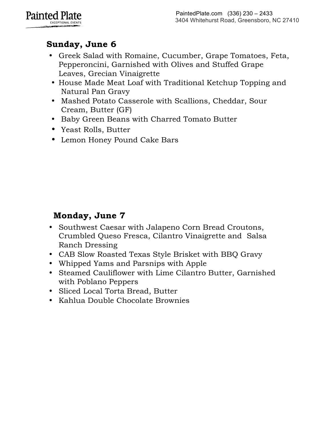

# **Sunday, June 6**

- Greek Salad with Romaine, Cucumber, Grape Tomatoes, Feta, Pepperoncini, Garnished with Olives and Stuffed Grape Leaves, Grecian Vinaigrette
- House Made Meat Loaf with Traditional Ketchup Topping and Natural Pan Gravy
- Mashed Potato Casserole with Scallions, Cheddar, Sour Cream, Butter (GF)
- Baby Green Beans with Charred Tomato Butter
- Yeast Rolls, Butter
- Lemon Honey Pound Cake Bars

## **Monday, June 7**

- Southwest Caesar with Jalapeno Corn Bread Croutons, Crumbled Queso Fresca, Cilantro Vinaigrette and Salsa Ranch Dressing
- CAB Slow Roasted Texas Style Brisket with BBQ Gravy
- Whipped Yams and Parsnips with Apple
- Steamed Cauliflower with Lime Cilantro Butter, Garnished with Poblano Peppers
- Sliced Local Torta Bread, Butter
- Kahlua Double Chocolate Brownies